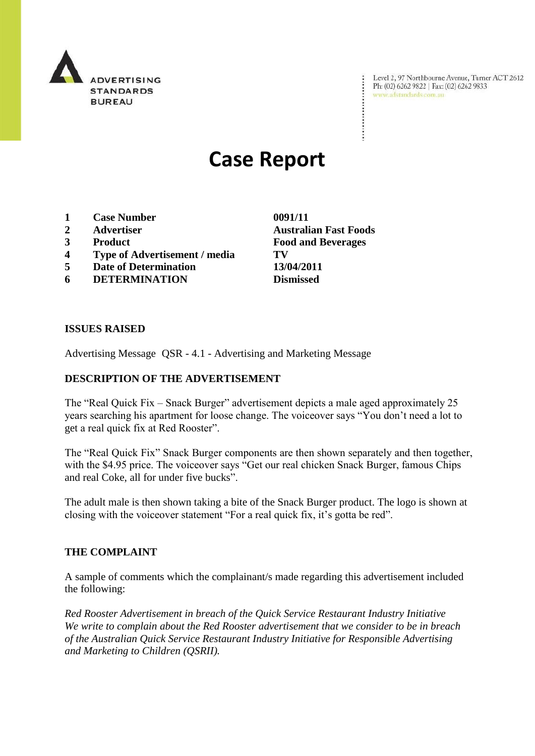

Level 2, 97 Northbourne Avenue, Turner ACT 2612<br>Ph: (02) 6262 9822 | Fax: (02) 6262 9833<br>www.adstandards.com.au

# **Case Report**

- **1 Case Number 0091/11**
- 
- 
- **4 Type of Advertisement / media TV**
- **5 Date of Determination 13/04/2011**
- **6 DETERMINATION Dismissed**

**ISSUES RAISED**

Advertising Message QSR - 4.1 - Advertising and Marketing Message

### **DESCRIPTION OF THE ADVERTISEMENT**

The "Real Quick Fix – Snack Burger" advertisement depicts a male aged approximately 25 years searching his apartment for loose change. The voiceover says "You don"t need a lot to get a real quick fix at Red Rooster".

The "Real Quick Fix" Snack Burger components are then shown separately and then together, with the \$4.95 price. The voiceover says "Get our real chicken Snack Burger, famous Chips and real Coke, all for under five bucks".

The adult male is then shown taking a bite of the Snack Burger product. The logo is shown at closing with the voiceover statement "For a real quick fix, it's gotta be red".

#### **THE COMPLAINT**

A sample of comments which the complainant/s made regarding this advertisement included the following:

*Red Rooster Advertisement in breach of the Quick Service Restaurant Industry Initiative We write to complain about the Red Rooster advertisement that we consider to be in breach of the Australian Quick Service Restaurant Industry Initiative for Responsible Advertising and Marketing to Children (QSRII).* 

**2 Advertiser Australian Fast Foods 3 Product Food and Beverages**

÷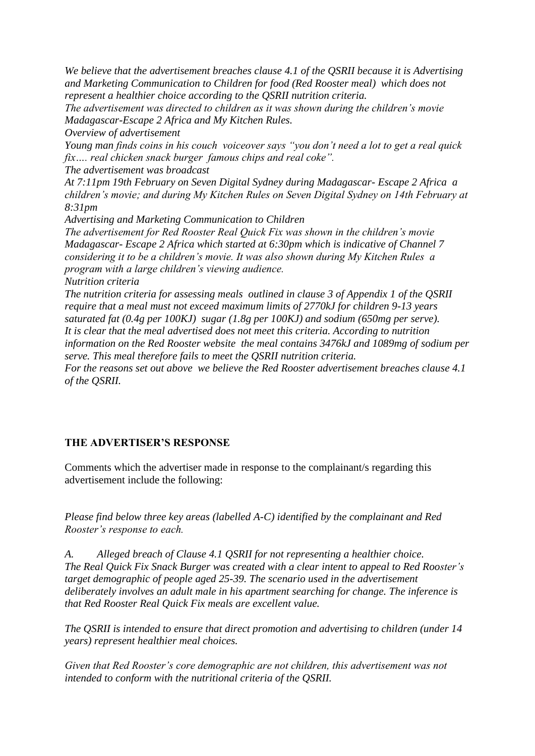*We believe that the advertisement breaches clause 4.1 of the QSRII because it is Advertising and Marketing Communication to Children for food (Red Rooster meal) which does not represent a healthier choice according to the QSRII nutrition criteria.*

*The advertisement was directed to children as it was shown during the children's movie Madagascar-Escape 2 Africa and My Kitchen Rules.*

*Overview of advertisement*

*Young man finds coins in his couch voiceover says "you don't need a lot to get a real quick fix…. real chicken snack burger famous chips and real coke".*

*The advertisement was broadcast*

*At 7:11pm 19th February on Seven Digital Sydney during Madagascar- Escape 2 Africa a children's movie; and during My Kitchen Rules on Seven Digital Sydney on 14th February at 8:31pm*

*Advertising and Marketing Communication to Children*

*The advertisement for Red Rooster Real Quick Fix was shown in the children's movie Madagascar- Escape 2 Africa which started at 6:30pm which is indicative of Channel 7 considering it to be a children's movie. It was also shown during My Kitchen Rules a program with a large children's viewing audience.*

*Nutrition criteria*

*The nutrition criteria for assessing meals outlined in clause 3 of Appendix 1 of the QSRII require that a meal must not exceed maximum limits of 2770kJ for children 9-13 years saturated fat (0.4g per 100KJ) sugar (1.8g per 100KJ) and sodium (650mg per serve). It is clear that the meal advertised does not meet this criteria. According to nutrition information on the Red Rooster website the meal contains 3476kJ and 1089mg of sodium per serve. This meal therefore fails to meet the QSRII nutrition criteria.*

*For the reasons set out above we believe the Red Rooster advertisement breaches clause 4.1 of the QSRII.* 

## **THE ADVERTISER'S RESPONSE**

Comments which the advertiser made in response to the complainant/s regarding this advertisement include the following:

*Please find below three key areas (labelled A-C) identified by the complainant and Red Rooster's response to each.*

*A. Alleged breach of Clause 4.1 QSRII for not representing a healthier choice. The Real Quick Fix Snack Burger was created with a clear intent to appeal to Red Rooster's target demographic of people aged 25-39. The scenario used in the advertisement deliberately involves an adult male in his apartment searching for change. The inference is that Red Rooster Real Quick Fix meals are excellent value.*

*The QSRII is intended to ensure that direct promotion and advertising to children (under 14 years) represent healthier meal choices.* 

*Given that Red Rooster's core demographic are not children, this advertisement was not intended to conform with the nutritional criteria of the QSRII.*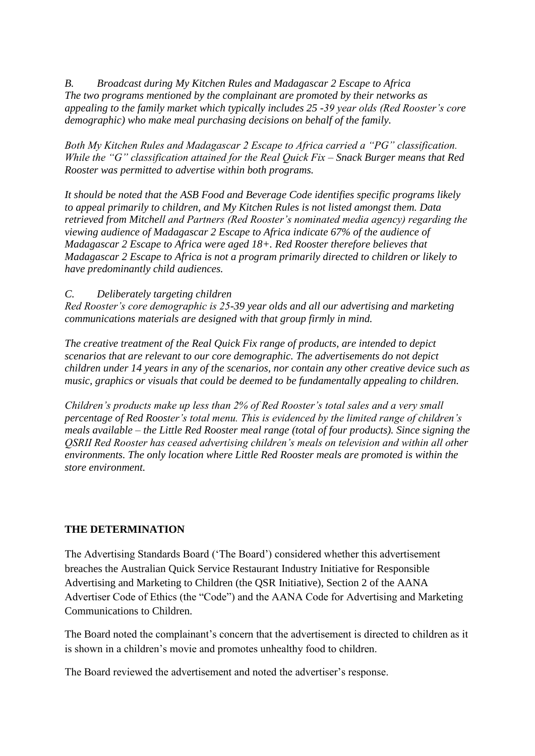*B. Broadcast during My Kitchen Rules and Madagascar 2 Escape to Africa The two programs mentioned by the complainant are promoted by their networks as appealing to the family market which typically includes 25 -39 year olds (Red Rooster's core demographic) who make meal purchasing decisions on behalf of the family.*

*Both My Kitchen Rules and Madagascar 2 Escape to Africa carried a "PG" classification. While the "G" classification attained for the Real Quick Fix – Snack Burger means that Red Rooster was permitted to advertise within both programs.* 

*It should be noted that the ASB Food and Beverage Code identifies specific programs likely to appeal primarily to children, and My Kitchen Rules is not listed amongst them. Data retrieved from Mitchell and Partners (Red Rooster's nominated media agency) regarding the viewing audience of Madagascar 2 Escape to Africa indicate 67% of the audience of Madagascar 2 Escape to Africa were aged 18+. Red Rooster therefore believes that Madagascar 2 Escape to Africa is not a program primarily directed to children or likely to have predominantly child audiences.*

*C. Deliberately targeting children*

*Red Rooster's core demographic is 25-39 year olds and all our advertising and marketing communications materials are designed with that group firmly in mind.* 

*The creative treatment of the Real Quick Fix range of products, are intended to depict scenarios that are relevant to our core demographic. The advertisements do not depict children under 14 years in any of the scenarios, nor contain any other creative device such as music, graphics or visuals that could be deemed to be fundamentally appealing to children.*

*Children's products make up less than 2% of Red Rooster's total sales and a very small percentage of Red Rooster's total menu. This is evidenced by the limited range of children's meals available – the Little Red Rooster meal range (total of four products). Since signing the QSRII Red Rooster has ceased advertising children's meals on television and within all other environments. The only location where Little Red Rooster meals are promoted is within the store environment.*

## **THE DETERMINATION**

The Advertising Standards Board ("The Board") considered whether this advertisement breaches the Australian Quick Service Restaurant Industry Initiative for Responsible Advertising and Marketing to Children (the QSR Initiative), Section 2 of the AANA Advertiser Code of Ethics (the "Code") and the AANA Code for Advertising and Marketing Communications to Children.

The Board noted the complainant"s concern that the advertisement is directed to children as it is shown in a children"s movie and promotes unhealthy food to children.

The Board reviewed the advertisement and noted the advertiser"s response.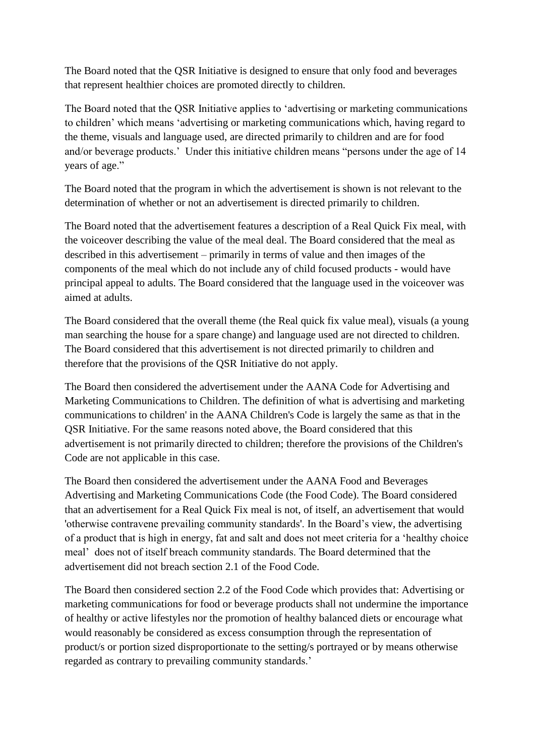The Board noted that the QSR Initiative is designed to ensure that only food and beverages that represent healthier choices are promoted directly to children.

The Board noted that the QSR Initiative applies to "advertising or marketing communications to children" which means "advertising or marketing communications which, having regard to the theme, visuals and language used, are directed primarily to children and are for food and/or beverage products.' Under this initiative children means "persons under the age of 14 years of age."

The Board noted that the program in which the advertisement is shown is not relevant to the determination of whether or not an advertisement is directed primarily to children.

The Board noted that the advertisement features a description of a Real Quick Fix meal, with the voiceover describing the value of the meal deal. The Board considered that the meal as described in this advertisement – primarily in terms of value and then images of the components of the meal which do not include any of child focused products - would have principal appeal to adults. The Board considered that the language used in the voiceover was aimed at adults.

The Board considered that the overall theme (the Real quick fix value meal), visuals (a young man searching the house for a spare change) and language used are not directed to children. The Board considered that this advertisement is not directed primarily to children and therefore that the provisions of the QSR Initiative do not apply.

The Board then considered the advertisement under the AANA Code for Advertising and Marketing Communications to Children. The definition of what is advertising and marketing communications to children' in the AANA Children's Code is largely the same as that in the QSR Initiative. For the same reasons noted above, the Board considered that this advertisement is not primarily directed to children; therefore the provisions of the Children's Code are not applicable in this case.

The Board then considered the advertisement under the AANA Food and Beverages Advertising and Marketing Communications Code (the Food Code). The Board considered that an advertisement for a Real Quick Fix meal is not, of itself, an advertisement that would 'otherwise contravene prevailing community standards'. In the Board"s view, the advertising of a product that is high in energy, fat and salt and does not meet criteria for a "healthy choice meal" does not of itself breach community standards. The Board determined that the advertisement did not breach section 2.1 of the Food Code.

The Board then considered section 2.2 of the Food Code which provides that: Advertising or marketing communications for food or beverage products shall not undermine the importance of healthy or active lifestyles nor the promotion of healthy balanced diets or encourage what would reasonably be considered as excess consumption through the representation of product/s or portion sized disproportionate to the setting/s portrayed or by means otherwise regarded as contrary to prevailing community standards."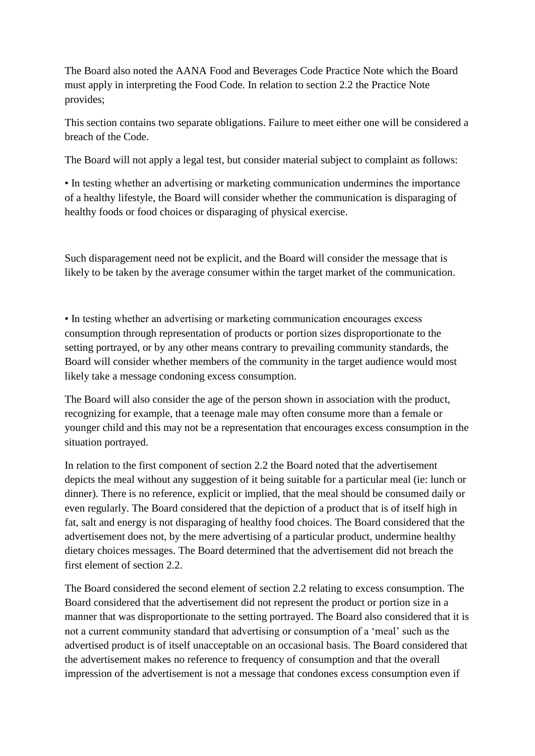The Board also noted the AANA Food and Beverages Code Practice Note which the Board must apply in interpreting the Food Code. In relation to section 2.2 the Practice Note provides;

This section contains two separate obligations. Failure to meet either one will be considered a breach of the Code.

The Board will not apply a legal test, but consider material subject to complaint as follows:

• In testing whether an advertising or marketing communication undermines the importance of a healthy lifestyle, the Board will consider whether the communication is disparaging of healthy foods or food choices or disparaging of physical exercise.

Such disparagement need not be explicit, and the Board will consider the message that is likely to be taken by the average consumer within the target market of the communication.

• In testing whether an advertising or marketing communication encourages excess consumption through representation of products or portion sizes disproportionate to the setting portrayed, or by any other means contrary to prevailing community standards, the Board will consider whether members of the community in the target audience would most likely take a message condoning excess consumption.

The Board will also consider the age of the person shown in association with the product, recognizing for example, that a teenage male may often consume more than a female or younger child and this may not be a representation that encourages excess consumption in the situation portrayed.

In relation to the first component of section 2.2 the Board noted that the advertisement depicts the meal without any suggestion of it being suitable for a particular meal (ie: lunch or dinner). There is no reference, explicit or implied, that the meal should be consumed daily or even regularly. The Board considered that the depiction of a product that is of itself high in fat, salt and energy is not disparaging of healthy food choices. The Board considered that the advertisement does not, by the mere advertising of a particular product, undermine healthy dietary choices messages. The Board determined that the advertisement did not breach the first element of section 2.2.

The Board considered the second element of section 2.2 relating to excess consumption. The Board considered that the advertisement did not represent the product or portion size in a manner that was disproportionate to the setting portrayed. The Board also considered that it is not a current community standard that advertising or consumption of a "meal" such as the advertised product is of itself unacceptable on an occasional basis. The Board considered that the advertisement makes no reference to frequency of consumption and that the overall impression of the advertisement is not a message that condones excess consumption even if